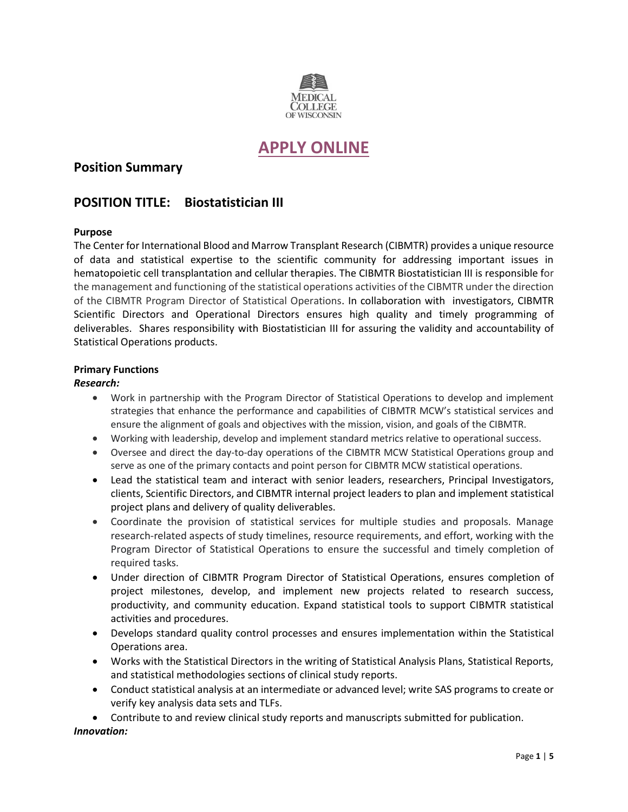

# **[APPLY ONLINE](https://careers.peopleclick.com/careerscp/client_medcollegewi/int1068597416/jobDetails.do?functionName=getJobDetail&jobPostId=22258&localeCode=en-us)**

# **Position Summary**

# **POSITION TITLE: Biostatistician III**

# **Purpose**

The Center for International Blood and Marrow Transplant Research (CIBMTR) provides a unique resource of data and statistical expertise to the scientific community for addressing important issues in hematopoietic cell transplantation and cellular therapies. The CIBMTR Biostatistician III is responsible for the management and functioning of the statistical operations activities of the CIBMTR under the direction of the CIBMTR Program Director of Statistical Operations. In collaboration with investigators, CIBMTR Scientific Directors and Operational Directors ensures high quality and timely programming of deliverables. Shares responsibility with Biostatistician III for assuring the validity and accountability of Statistical Operations products.

## **Primary Functions**

## *Research:*

- Work in partnership with the Program Director of Statistical Operations to develop and implement strategies that enhance the performance and capabilities of CIBMTR MCW's statistical services and ensure the alignment of goals and objectives with the mission, vision, and goals of the CIBMTR.
- Working with leadership, develop and implement standard metrics relative to operational success.
- Oversee and direct the day-to-day operations of the CIBMTR MCW Statistical Operations group and serve as one of the primary contacts and point person for CIBMTR MCW statistical operations.
- Lead the statistical team and interact with senior leaders, researchers, Principal Investigators, clients, Scientific Directors, and CIBMTR internal project leaders to plan and implement statistical project plans and delivery of quality deliverables.
- Coordinate the provision of statistical services for multiple studies and proposals. Manage research-related aspects of study timelines, resource requirements, and effort, working with the Program Director of Statistical Operations to ensure the successful and timely completion of required tasks.
- Under direction of CIBMTR Program Director of Statistical Operations, ensures completion of project milestones, develop, and implement new projects related to research success, productivity, and community education. Expand statistical tools to support CIBMTR statistical activities and procedures.
- Develops standard quality control processes and ensures implementation within the Statistical Operations area.
- Works with the Statistical Directors in the writing of Statistical Analysis Plans, Statistical Reports, and statistical methodologies sections of clinical study reports.
- Conduct statistical analysis at an intermediate or advanced level; write SAS programs to create or verify key analysis data sets and TLFs.

• Contribute to and review clinical study reports and manuscripts submitted for publication. *Innovation:*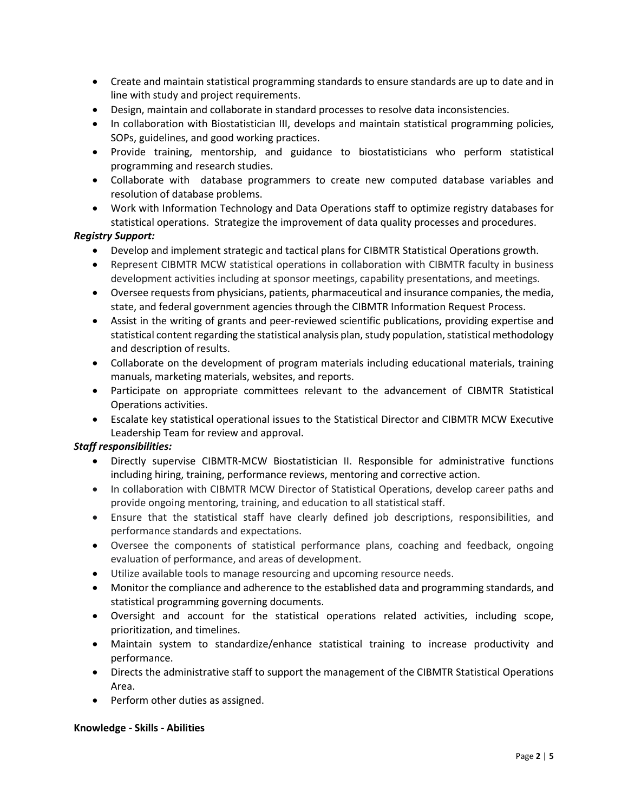- Create and maintain statistical programming standards to ensure standards are up to date and in line with study and project requirements.
- Design, maintain and collaborate in standard processes to resolve data inconsistencies.
- In collaboration with Biostatistician III, develops and maintain statistical programming policies, SOPs, guidelines, and good working practices.
- Provide training, mentorship, and guidance to biostatisticians who perform statistical programming and research studies.
- Collaborate with database programmers to create new computed database variables and resolution of database problems.
- Work with Information Technology and Data Operations staff to optimize registry databases for statistical operations. Strategize the improvement of data quality processes and procedures.

# *Registry Support:*

- Develop and implement strategic and tactical plans for CIBMTR Statistical Operations growth.
- Represent CIBMTR MCW statistical operations in collaboration with CIBMTR faculty in business development activities including at sponsor meetings, capability presentations, and meetings.
- Oversee requests from physicians, patients, pharmaceutical and insurance companies, the media, state, and federal government agencies through the CIBMTR Information Request Process.
- Assist in the writing of grants and peer-reviewed scientific publications, providing expertise and statistical content regarding the statistical analysis plan, study population, statistical methodology and description of results.
- Collaborate on the development of program materials including educational materials, training manuals, marketing materials, websites, and reports.
- Participate on appropriate committees relevant to the advancement of CIBMTR Statistical Operations activities.
- Escalate key statistical operational issues to the Statistical Director and CIBMTR MCW Executive Leadership Team for review and approval.

# *Staff responsibilities:*

- Directly supervise CIBMTR-MCW Biostatistician II. Responsible for administrative functions including hiring, training, performance reviews, mentoring and corrective action.
- In collaboration with CIBMTR MCW Director of Statistical Operations, develop career paths and provide ongoing mentoring, training, and education to all statistical staff.
- Ensure that the statistical staff have clearly defined job descriptions, responsibilities, and performance standards and expectations.
- Oversee the components of statistical performance plans, coaching and feedback, ongoing evaluation of performance, and areas of development.
- Utilize available tools to manage resourcing and upcoming resource needs.
- Monitor the compliance and adherence to the established data and programming standards, and statistical programming governing documents.
- Oversight and account for the statistical operations related activities, including scope, prioritization, and timelines.
- Maintain system to standardize/enhance statistical training to increase productivity and performance.
- Directs the administrative staff to support the management of the CIBMTR Statistical Operations Area.
- Perform other duties as assigned.

#### **Knowledge - Skills - Abilities**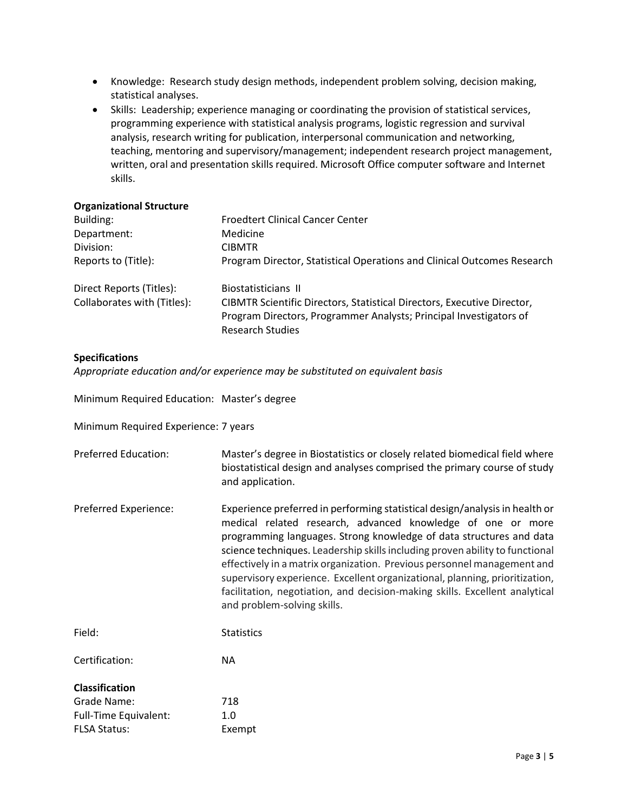- Knowledge: Research study design methods, independent problem solving, decision making, statistical analyses.
- Skills: Leadership; experience managing or coordinating the provision of statistical services, programming experience with statistical analysis programs, logistic regression and survival analysis, research writing for publication, interpersonal communication and networking, teaching, mentoring and supervisory/management; independent research project management, written, oral and presentation skills required. Microsoft Office computer software and Internet skills.

#### **Organizational Structure**

| Building:                   | <b>Froedtert Clinical Cancer Center</b>                                 |
|-----------------------------|-------------------------------------------------------------------------|
| Department:                 | Medicine                                                                |
| Division:                   | <b>CIBMTR</b>                                                           |
| Reports to (Title):         | Program Director, Statistical Operations and Clinical Outcomes Research |
| Direct Reports (Titles):    | Biostatisticians II                                                     |
| Collaborates with (Titles): | CIBMTR Scientific Directors, Statistical Directors, Executive Director, |
|                             | Program Directors, Programmer Analysts; Principal Investigators of      |
|                             | <b>Research Studies</b>                                                 |

#### **Specifications**

*Appropriate education and/or experience may be substituted on equivalent basis*

| Minimum Required Education: Master's degree |                                                                                                                                                                                                                                                                                                                                                                                                                                                                                                                                                                           |  |
|---------------------------------------------|---------------------------------------------------------------------------------------------------------------------------------------------------------------------------------------------------------------------------------------------------------------------------------------------------------------------------------------------------------------------------------------------------------------------------------------------------------------------------------------------------------------------------------------------------------------------------|--|
| Minimum Required Experience: 7 years        |                                                                                                                                                                                                                                                                                                                                                                                                                                                                                                                                                                           |  |
| <b>Preferred Education:</b>                 | Master's degree in Biostatistics or closely related biomedical field where<br>biostatistical design and analyses comprised the primary course of study<br>and application.                                                                                                                                                                                                                                                                                                                                                                                                |  |
| Preferred Experience:                       | Experience preferred in performing statistical design/analysis in health or<br>medical related research, advanced knowledge of one or more<br>programming languages. Strong knowledge of data structures and data<br>science techniques. Leadership skills including proven ability to functional<br>effectively in a matrix organization. Previous personnel management and<br>supervisory experience. Excellent organizational, planning, prioritization,<br>facilitation, negotiation, and decision-making skills. Excellent analytical<br>and problem-solving skills. |  |
| Field:                                      | <b>Statistics</b>                                                                                                                                                                                                                                                                                                                                                                                                                                                                                                                                                         |  |
| Certification:                              | <b>NA</b>                                                                                                                                                                                                                                                                                                                                                                                                                                                                                                                                                                 |  |
| <b>Classification</b>                       |                                                                                                                                                                                                                                                                                                                                                                                                                                                                                                                                                                           |  |
| Grade Name:                                 | 718                                                                                                                                                                                                                                                                                                                                                                                                                                                                                                                                                                       |  |
| Full-Time Equivalent:                       | 1.0                                                                                                                                                                                                                                                                                                                                                                                                                                                                                                                                                                       |  |
| <b>FLSA Status:</b>                         | Exempt                                                                                                                                                                                                                                                                                                                                                                                                                                                                                                                                                                    |  |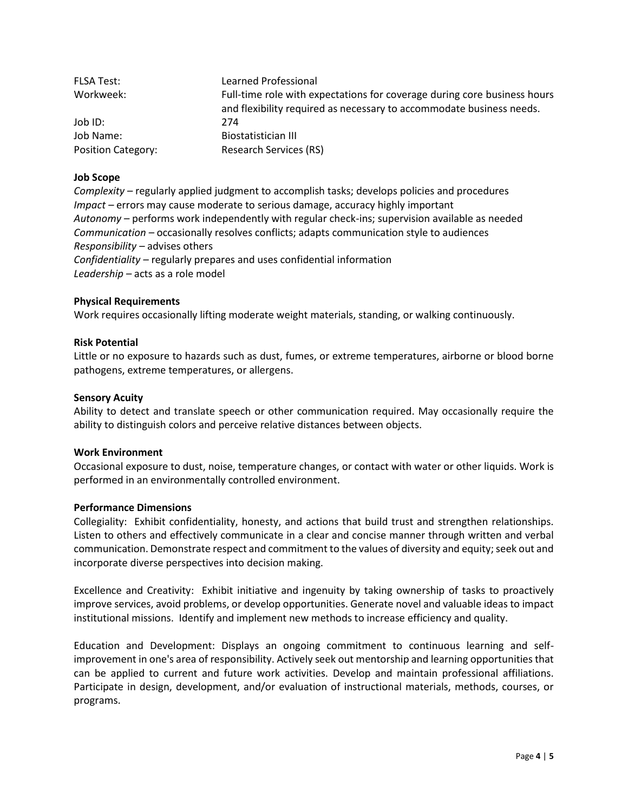| FLSA Test:                | Learned Professional                                                                                                                             |
|---------------------------|--------------------------------------------------------------------------------------------------------------------------------------------------|
| Workweek:                 | Full-time role with expectations for coverage during core business hours<br>and flexibility required as necessary to accommodate business needs. |
| Job ID:                   | 274                                                                                                                                              |
| Job Name:                 | Biostatistician III                                                                                                                              |
| <b>Position Category:</b> | <b>Research Services (RS)</b>                                                                                                                    |

#### **Job Scope**

*Complexity –* regularly applied judgment to accomplish tasks; develops policies and procedures *Impact –* errors may cause moderate to serious damage, accuracy highly important *Autonomy –* performs work independently with regular check-ins; supervision available as needed *Communication –* occasionally resolves conflicts; adapts communication style to audiences *Responsibility –* advises others *Confidentiality –* regularly prepares and uses confidential information *Leadership –* acts as a role model

#### **Physical Requirements**

Work requires occasionally lifting moderate weight materials, standing, or walking continuously.

## **Risk Potential**

Little or no exposure to hazards such as dust, fumes, or extreme temperatures, airborne or blood borne pathogens, extreme temperatures, or allergens.

#### **Sensory Acuity**

Ability to detect and translate speech or other communication required. May occasionally require the ability to distinguish colors and perceive relative distances between objects.

#### **Work Environment**

Occasional exposure to dust, noise, temperature changes, or contact with water or other liquids. Work is performed in an environmentally controlled environment.

# **Performance Dimensions**

Collegiality: Exhibit confidentiality, honesty, and actions that build trust and strengthen relationships. Listen to others and effectively communicate in a clear and concise manner through written and verbal communication. Demonstrate respect and commitment to the values of diversity and equity; seek out and incorporate diverse perspectives into decision making.

Excellence and Creativity: Exhibit initiative and ingenuity by taking ownership of tasks to proactively improve services, avoid problems, or develop opportunities. Generate novel and valuable ideas to impact institutional missions. Identify and implement new methods to increase efficiency and quality.

Education and Development: Displays an ongoing commitment to continuous learning and selfimprovement in one's area of responsibility. Actively seek out mentorship and learning opportunities that can be applied to current and future work activities. Develop and maintain professional affiliations. Participate in design, development, and/or evaluation of instructional materials, methods, courses, or programs.